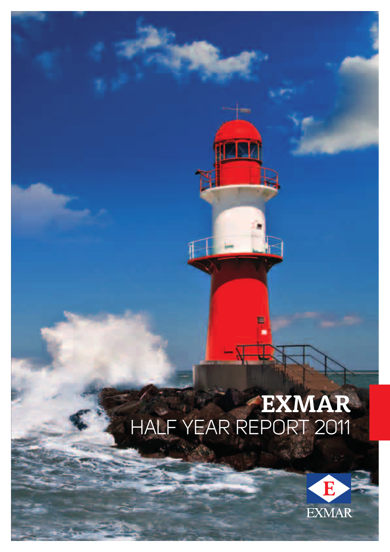# **EXMAR** HALF YEAR REPORT 2011

E

ZN



nog in te vullen 1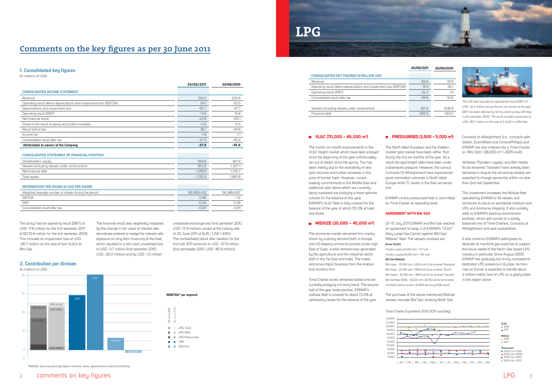

# **2. Contribution per division**

(In millions of USD)

# **Comments on the key figures as per 30 June 2011**

*The LPG fleet recorded an operational result (EBIT) of USD -32.3 million during the first six months of the year. EBIT has been affected by 121 dry-docking days (81 days in first semester 2010). The result includes a provision of USD -26.7 million on the sale of 2 VLGC's to BW Gas.*

Contracts of Affreightment (i.e.: contracts with Statoil, ExxonMobil and ConocoPhillips) and EXMAR has also entered into a Time-Charter on 'BW Odin' (38,000 m<sup>3</sup> / 2005-built).

**VLGC (70,000 – 85,000 m³)**

The month-on-month improvements in the VLGC freight market which have been enjoyed since the beginning of the year unfortunately ran out of steam since the spring. This has been mainly due to the availability of less spot volumes and further increases in the price of bunker fuels. However, current loading commitments in the Middle East and additional spot stems which are currently being marketed are justifying a more optimist outlook for the balance of this year. EXMAR's VLGC fleet is fully covered for the balance of the year of which 55.0% at fixed hire levels.

# **MIDSIZE (20,000 – 40,000 m³)**

The ammonia market remained firm mainly driven by a strong demand both in Europe and US keeping ammonia product prices high. East of Suez, a solid demand was generated by the agricultural and the industrial sector both in the Far East and India. The Indian ammonia import business from the Arabian Gulf remains firm.

Time Charter levels remained stable and are currently enjoying a firming trend. The second half of the year looks positive. EXMAR's midsize fleet is covered for about 72.0% at satisfactory levels for the balance of the year.

# **PRESSURISED (3,500 – 5,000 m³)**

The North West European and Far Eastern coaster spot market have been rather 'thin' during the first six months of the year. As a result the spot freight rates have been under a downward pressure. However, the various Contracts Of Affreightment have experienced good nomination volumes in North West Europe while TC levels in the East remained

firm.

Exmar's entire pressurised fleet is committed on Time Charter at rewarding level.

# **AGREEMENT WITH BW GAS**

On 15 July 2011 EXMAR and BW Gas reached an agreement to swap 2 of EXMAR's "VLGC" (Very Large Gas Carrier) against BW Gas' Midsize" fleet. The vessels involved are:

**Exmar (VLGC):**

Flanders Liberty 84,000 cbm / '07-built Flanders Loyalty 84,000 cbm / '08- built

# **CONSOLIDATED KEY FIGURES in million USD** Revenue **83.6** 91.8 Operating result before depreciations and impairment loss (EBITDA) 18.4 25.1 Operating result (EBIT) Consolidated result after tax Vessels (including vessels under construction)

 $F$ inancial debt

**BW Gas (Midsize):**

BW Hugin - 35,000 cbm / 2002-built (to be renamed 'Bastogne)' BW Helga - 35,000 cbm / 1994-built (to be renamed 'Temse') BW Hedda - 35,000 cbm / 1993-built (to be renamed 'Tielrode') BW Sombeke (50%) - 38,000 cbm /20'06-built (to be renamed 'Sombeke') (which results in EXMAR becoming 100% owner)



Whereas 'Flanders Loyalty' and BW Hedda (to be renamed 'Tielrode') have already been delivered in August the remaining vessels are expected to change ownership within no later than 2nd half September.



This investment increases the Midsize fleet operated by EXMAR to 18 vessels and reinforces its focus on worldwide medium-size LPG and Ammonia shipping. It also suitably adds to EXMAR's existing commitment portfolio, which will consist of a solidly balanced mix of Time-Charters, Contracts of Affreightment and spot availabilities.

It also confirms EXMAR's willingness to dedicate its maritime gas expertise to support the future needs of the North Sea based LPG industry in particular Since August 2009 EXMAR has gradually but firmly increased its dedicated LPG presence in Europe. As from now on Exmar is expected to handle about 2 million metric tons of LPG on a yearly basis in this region alone.

|                                                                    | 30/06/2011 | 30/06/2010 |
|--------------------------------------------------------------------|------------|------------|
| <b>CONSOLIDATED INCOME STATEMENT</b>                               |            |            |
| Revenue                                                            | 224.0      | 200.8      |
| Operating result before depreciations and impairment loss (EBITDA) | 54.1       | 63.5       |
| Depreciations and impairment loss                                  | $-65.7$    | $-47.7$    |
| Operating result (EBIT)                                            | $-11.6$    | 15.8       |
| Net financial result                                               | $-23.9$    | $-60.1$    |
| Share in the result of equity accounted investees                  | $-0.6$     | $-0.5$     |
| Result before tax                                                  | $-36.1$    | $-44.8$    |
| Income tax                                                         | $-1.8$     | $-1.1$     |
| Consolidated result after tax                                      | $-37.9$    | $-45.9$    |
| Attributable to owners of the Company                              | $-37.9$    | $-45.9$    |

### **CONSOLIDATED STATEMENT OF FINANCIAL POSITION**

The purchase of the above mentioned Midsize vessels includes BW Gas' existing North Sea Time Charter Equivalent 2010-2011 (usd/day) 24,000

| Shareholders' equity                           | 359.8   | 361.9   |
|------------------------------------------------|---------|---------|
| Vessels (including vessels under construction) | 972.9   | 1,307.1 |
| Net financial debt                             | 1.018.9 | 1.145.7 |
| Total assets                                   | 1,726.9 | 1.861.6 |

# **INFORMATION PER SHARE IN USD PER SHARE**

| Weighted average number of shares during the period | 56,669,432 | 56.989.697 |
|-----------------------------------------------------|------------|------------|
| <b>EBITDA</b>                                       | 0.95       |            |
| EBIT                                                | $-0.20$    | 0.28       |
| Consolidated result after tax                       | $-0.67$    | 0.81       |

# **30/06/2011 30/06/2010**

| 83.6    | 91.8    |
|---------|---------|
|         |         |
| 18.4    | 25.1    |
| $-32.3$ | 1.8     |
|         |         |
| -396    | $-10.8$ |
|         |         |
|         |         |
| 421.6   | 608.9   |
| 400.5   | 433.0   |
|         |         |
|         |         |

# **1. Consolidated key figures**

(In millions of USD)

# **LPG**

*\*Rebitda: recurring earnings before interests, taxes, depreciations and amortisations.*

The Group had an operating result (EBIT) of USD -11.6 million for the first semester 2011 (USD 15.8 million for the first semester 2010). This includes an impairment loss of USD -26.7 million on the sale of two VLGCs to BW Gas.

The financial result was negatively impacted by the change in fair value of interest rate derivatives entered to hedge the interest rate exposure on long term financing of the fleet, which resulted in a non-cash unrealised loss of USD -3.7 million (first semester 2010: USD -26.0 million) and by USD -1.0 million

unrealised exchange loss (first semester 2010: USD -13.9 million) valued at the closing rate of 30 June 2011 of EUR / USD 1.4453. The consolidated result after taxation for the first half 2011 amounts to USD -37.9 million (first semsester 2010: USD -45.9 million).

| 22,000 |  |
|--------|--|
| 20,000 |  |
| 18,000 |  |
| 16,000 |  |
| 14,000 |  |
| 12,000 |  |
| 10,000 |  |
| 8,000  |  |
| 6,000  |  |
| 4.000  |  |
|        |  |



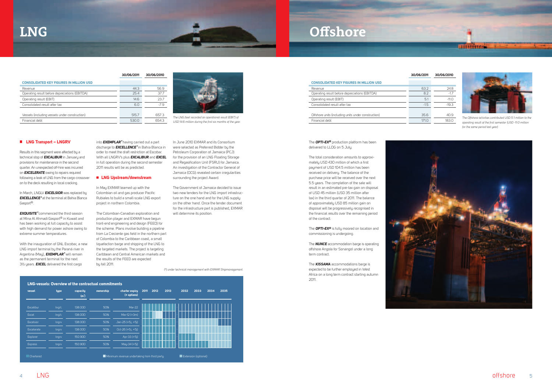

*The LNG fleet recorded an operational result (EBIT) of USD 14.6 million during the first six months of the year.*



*The Offshore activities contributed USD 5.1 million to the operating result of the first semester (USD -11.0 million for the same period last year)*



# **LNG Offshore**

|                                                | 30/06/2011 | 30/06/2010 |
|------------------------------------------------|------------|------------|
| <b>CONSOLIDATED KEY FIGURES IN MILLION USD</b> |            |            |
| Revenue                                        | 44.3       | 56.9       |
| Operating result before depreciations (EBITDA) | 25.4       | 37.7       |
| Operating result (EBIT)                        | 14.6       | 23.7       |
| Consolidated result after tax                  | 6.0        | $-7.9$     |
|                                                |            |            |
| Vessels (including vessels under construction) | 515.7      | 657.3      |
| Financial debt                                 | 530.0      | 654.3      |

| /06/2011 | 30/06/2010 |
|----------|------------|
|          |            |
| 63.2     | 24.8       |
| 8.2      | $-1.7$     |
| 5.1      | $-11.0$    |
| $-1.5$   | $-19.3$    |
|          |            |
| 35.6     | 40.9       |
| 171.0    | 183.0      |
|          |            |

| <b>CONSOLIDATED KEY FIGURES IN MILLION USD</b>      |        |        |
|-----------------------------------------------------|--------|--------|
| Revenue                                             | 63.2   | 24.8   |
| Operating result before depreciations (EBITDA)      | 8.2    | $-17$  |
| Operating result (EBIT)                             | 5.1    | $-110$ |
| Consolidated result after tax                       | $-1.5$ | -19.3  |
| Offshore units (including units under construction) | 35.6   | 1N 9   |

# **LNG Transport – LNGRV**

Results in this segment were affected by a technical stop of *EXCALIBUR* in January and provisions for maintenance in the second quarter. An unexpected off-hire was incurred on *EXCELERATE* owing to repairs required following a leak of LNG from the cargo crossover on to the deck resulting in local cracking.

In March, LNGLV *EXCELSIOR* was replaced by *EXCELLENCE\**at the terminal at Bahía Blanca Gasport®.

*EXQUISITE\**commenced the third season at Mina Al Ahmadi Gasport® in Kuwait and has been working at full capacity to assist with high demand for power ashore owing to extreme summer temperatures.

With the inauguration of GNL Escobar, a new LNG import terminal by the Paraná river in Argentina (May), *EXEMPLAR\** will remain as the permanent terminal for the next 3½ years. *EXCEL* delivered the first cargo

into *EXEMPLAR\** having carried out a part discharge to *EXCELLENCE\** in Bahía Blanca in order to meet the draft restriction at Escobar. With all LNGRV's plus *EXCALIBUR* and *EXCEL* for the provision of an LNG Floating Storage in full operation during the second semester 2011 results will be as predicted.

# **LNG Upstream/downstream**

In May EXMAR teamed up with the Colombian oil and gas producer Pacific Rubiales to build a small-scale LNG export project in northern Colombia.

The Colombian-Canadian exploration and production player and EXMAR have begun front-end engineering and design (FEED) for the scheme. Plans involve building a pipeline from La Creciente gas field in the northern part of Colombia to the Caribbean coast, a small liquefaction barge and shipping of the LNG to the targeted markets. The project is targeting Caribbean and Central American markets and the results of the FEED are expected by fall 2011.

In June 2010 EXMAR and its Consortium were selected as Preferred Bidder by the Petroleum Corporation of Jamaica (PCJ) and Regasification Unit (FSRU) for Jamaica. An investigation of the Contractor General of Jamaica (OCG) revealed certain irregularities surrounding the project Award.

The Government of Jamaica decided to issue two new tenders for the LNG import infrastructure on the one hand and for the LNG supply on the other hand. Once the tender document for the infrastructure part is published, EXMAR will determine its position.

The *OPTI-EX®* production platform has been delivered to LLOG on 5 July.

Financial debt

The total consideration amounts to approximately USD 430 million of which a first payment of USD 104.5 million has been received on delivery. The balance of the purchase price will be received over the next 5.5 years. The completion of the sale will result in an estimated pre-tax gain on disposal of USD 45 million (USD 35 million after tax) in the third quarter of 2011. The balance of approximately USD 85 million gain on disposal will be progressively recognised in the financial results over the remaining period of the contract.

The *OPTI-EX®* is fully moored on location and commissioning is undergoing.

The *NUNCE* accommodation barge is operating offshore Angola for Sonangol under a long term contract.

The *KISSAMA* accommodations barge is expected to be further employed in West Africa on a long term contract starting autumn 2011.



| vessel           | type  | capacity<br>(m) | ownership | charter expiry<br>(+ options) | 2011 | 2012 | 2013 | 2032 | 2033 | 2034 | 2035 |
|------------------|-------|-----------------|-----------|-------------------------------|------|------|------|------|------|------|------|
| <b>Excalibur</b> | lnq/c | 138,000         | 50%       | Mar-22                        |      |      |      |      |      |      |      |
| Excel            | lnq/c | 138,000         | 50%       | Mar-12 (+3m)                  |      |      |      |      |      |      |      |
| Excelsior        | Ingrv | 138.000         | 50%       | Jan-25 (+5j, +5j)             |      |      |      |      |      |      |      |
| Excelerate       | Ingrv | 138,000         | 50%       | Oct-26 (+5j, +5j)             |      |      |      |      |      |      |      |
| Explorer         | Ingrv | 150.900         | 50%       | Apr-33 (+5i)                  |      |      |      |      |      |      |      |
| <b>Express</b>   | Ingrv | 150.900         | 50%       | May-34 (+5j)                  |      |      |      |      |      |      |      |

*(\*) under technical management with EXMAR Shipmanagement.*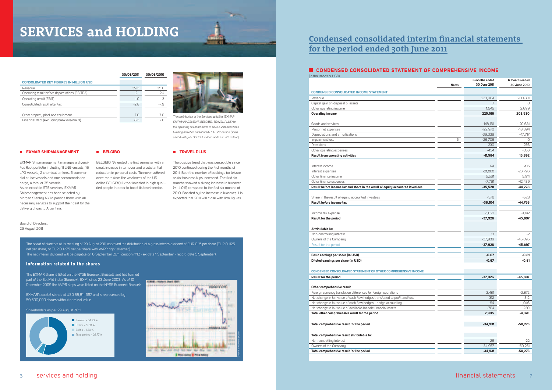|  | 26        | $\sim$ $\prime$ |
|--|-----------|-----------------|
|  | $-34,957$ | $-50,251$       |
|  | $-34,931$ | $-50,273$       |
|  |           |                 |

# **CONDENSED CONSOLIDATED STATEMENT of comprehensive income** (In thousands of USD)

# Capital gain on disposal of assets 7 0 Other operating income 2,699 **Operating income 225,516 203,530** Personnel expenses -22,970 - 18,694 Depreciations and amortisations -39,039 -47,717 Impairment loss  $\overline{5}$   $\overline{26,706}$   $\overline{0}$   $\overline{0}$   $\overline{0}$ Other operating expenses and the set of the set of the set of the set of the set of the set of the set of the set of the set of the set of the set of the set of the set of the set of the set of the set of the set of the se **Result from operating activities -11,584 15,892 Diluted earnings per share (in USD) -0.67 -0.81 Result for the period -37,926 -45,897** Net change in fair value of cash flow hedges transferred to profit and loss 312 312 312 312 Net change in fair value of available-for-sale financial assets **-704** 230

# **6 months ended 6 months ended Notes 30 June 2011 30 June 2010 CONDENSED CONSOLIDATED INCOME STATEMENT** Revenue 223,964 200,831 200,831 200,831 200,831 200,831 200,831 200,831 200,831 200,831 200,831 200,831 200,831 Goods and services -148,161 -120,631 -120,631 -120,631 -148,161 -148,161 -148,161 -120,631 -120,631 -120,631 -120,631 -120,631 -120,631 -120,631 -120,631 -120,631 -120,631 -120,631 -120,631 -120,631 -120,631 -120,631 -120, Provisions 230 256 Interest income 174 205 Interest expenses -21,888 -23,796 Other finance income 5,561 5,911 5,911 5,911 5,911 5,911 5,912 5,911 5,912 5,912 5,911 5,912 5,912 5,911 5,912 5,912 5,912 5,912 5,912 5,912 5,912 5,912 5,912 5,912 5,912 5,912 5,912 5,912 5,912 5,912 5,912 5,912 5,912 5,9 Other finance expenses -2,439 -42,439 **Result before income tax and share in the result of equity accounted investees -35,528 -44,228** Share in the result of equity accounted investees -578 -528 -528 -528 -528 -576 -576 -5776 -528 -528 -528 -528 **Result before income tax -36,104 -44,756**  $\blacksquare$  Income tax expense  $-1,142$ **Result for the period -37,926 -45,897 Attributable to:** Non-controlling interest the controlling interest the controlling interest the controlling interest the controlling interest the controlling interest the controlling interest the controlling interest the controlling intere Owners of the Company and the Company of the Company of the Company of the Company of the Company of the Company Result for the period **-37,926 -45,897 Basic earnings per share (in USD) -0.67 -0.81 CONDENSED CONSOLIDATED STATEMENT OF OTHER COMPREHENSIVE INCOME Other comprehensive result** Foreign currency translation differences for foreign operations 3,481 - 3,872 - 3,872 Net change in fair value of cash flow hedges - hedge accounting -94 -1,046 **Total other comprehensive result for the period 2,995 -4,376 Total comprehensive result for the period -34,931 -50,273**

BELGIBO NV ended the first semester with a small increase in turnover and a substantial reduction in personal costs. Turnover suffered once more from the weakness of the US dollar. BELGIBO further invested in high qualified people in order to boost its level service.

## **TRAVEL PLUS**

**Total comprehensive result attributable to:**

Non-controlling interest

Owners of the Company

**Total comprehensive result for the period** 

## **Information related to the shares**



*The contribution of the Services activities (EXMAR SHIPMANAGEMENT, BELGIBO, TRAVEL PLUS) to the operating result amounts to USD 3.2 million while Holding activities contributed USD -2.2 million (same period last year USD 3.4 million and USD -2.1 million).*

### **EXMAR SHIPMANAGEMENT**

Exmar Shipmanagement manages a diversified fleet portfolio including 11 LNG vessels, 16 LPG vessels, 2 chemical tankers, 5 commercial cruise vessels and one accommodation barge, a total of 35 vessels. As an expert in STS services, EXMAR Shipmanagement has been selected by Morgan Stanley NY to provide them with all necessary services to support their deal for the delivery of gas to Argentina.

### **BELGIBO**

Board of Directors, 29 August 2011

The positive trend that was perceptible since 2010 continued during the first months of 2011. Both the number of bookings for leisure as for business trips increased. The first six months showed a strong increase in turnover (+ 14.0%) compared to the first six months of 2010. Boosted by the increase in turnover, it is expected that 2011 will close with firm figures.

# **Condensed consolidated interim financial statements for the period ended 30th June 2011**

The EXMAR share is listed on the NYSE Euronext Brussels and has formed part of the Bel Mid index (Euronext: EXM) since 23 June 2003. As of 10 December 2009 the VVPR strips were listed on the NYSE Euronext Brussels.

EXMAR's capital stands at USD 88,811,667 and is represented by 59,500,000 shares without nominal value

# Shareholders as per 29 August 2011

The board of directors at its meeting of 29 August 2011 approved the distribution of a gross interim dividend of EUR 0.15 per share (EUR 0.1125 net per share, or EUR 0.1275 net per share with VVPR right attached).

The net interim dividend will be payable on 6 September 2011 (coupon n°12 - ex-date 1 September - record-date 5 September).

# **SERVICES and HOLDING**

|                                                | 30/06/2011 | 30/06/2010 |
|------------------------------------------------|------------|------------|
| <b>CONSOLIDATED KEY FIGURES IN MILLION USD</b> |            |            |
| Revenue                                        | 39.3       | 35.6       |
| Operating result before depreciations (EBITDA) | 2.1        | 2.4        |
| Operating result (EBIT)                        | 1.0        | 1.3        |
| Consolidated result after tax                  | $-2.8$     | $-7.9$     |
|                                                |            |            |
| Other property plant and equipment             | 7.0        | 7.0        |
| Financial debt (excluding bank overdrafts)     | 8.3        | 78         |



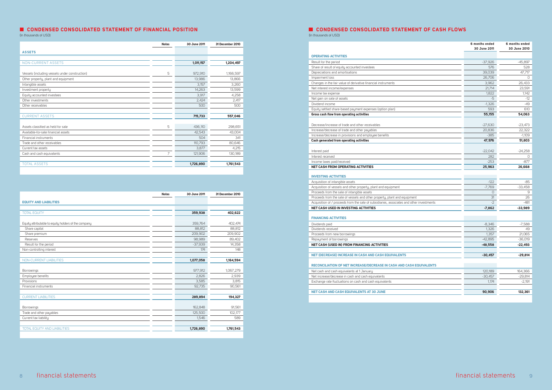| <b>Notes</b> | 30 June 2011 | 31 December 2010 |
|--------------|--------------|------------------|
|              |              |                  |
|              |              |                  |
|              | 1,011,157    | 1,204,497        |
|              |              |                  |
| 5            | 972,910      | 1,166,597        |
|              | 13,986       | 13,866           |
|              | 3,157        | 3,260            |
|              | 14,263       | 13,599           |
|              | 3,917        | 4,258            |
|              | 2,424        | 2,417            |
|              | 500          | 500              |
|              |              |                  |
|              | 715,733      | 557,046          |
|              |              |                  |
| 5            | 436,110      | 298,651          |
|              | 42,543       | 43,004           |
|              | 504          | 341              |
|              | 110,793      | 80,646           |
|              | 3,877        | 4,215            |
| 7            | 121,906      | 130,189          |
|              |              |                  |
|              | 1,726,890    | 1,761,543        |
|              |              |                  |

|                                                      | <b>Notes</b> | 30 June 2011 | 31 December 2010 |
|------------------------------------------------------|--------------|--------------|------------------|
| <b>EQUITY AND LIABILITIES</b>                        |              |              |                  |
|                                                      |              |              |                  |
| <b>TOTAL EQUITY</b>                                  |              | 359,938      | 402,622          |
|                                                      |              |              |                  |
| Equity attributable to equity holders of the company |              | 359,764      | 402,474          |
| Share capital                                        |              | 88,812       | 88,812           |
| Share premium                                        |              | 209,902      | 209,902          |
| Reserves                                             |              | 98,989       | 89,402           |
| Result for the period                                |              | $-37,939$    | 14,358           |
| Non-controlling interest                             |              | 174          | 148              |
|                                                      |              |              |                  |
| NON-CURRENT LIABILITIES                              |              | 1,077,058    | 1,164,594        |
|                                                      |              |              |                  |
| Borrowings                                           |              | 977,912      | 1,067,279        |
| Employee benefits                                    |              | 2,826        | 2,939            |
| Provisions                                           |              | 3,585        | 3,815            |
| Financial instruments                                |              | 92,735       | 90,561           |
|                                                      |              |              |                  |
| <b>CURRENT LIABILITIES</b>                           |              | 289,894      | 194,327          |
|                                                      |              |              |                  |
| Borrowings                                           |              | 162,848      | 91,561           |
| Trade and other payables                             |              | 125,500      | 102,177          |
| Current tax liability                                |              | 1,546        | 589              |
|                                                      |              |              |                  |
| <b>TOTAL EQUITY AND LIABILITIES</b>                  |              | 1,726,890    | 1,761,543        |
|                                                      |              |              |                  |

# **CONDENSED CONSOLIDATED STATEMENT OF CASH FLOWS**

|                                                                                                   | 6 months ended<br>30 June 2011 | 6 months ended<br>30 June 2010 |
|---------------------------------------------------------------------------------------------------|--------------------------------|--------------------------------|
| <b>OPERATING ACTIVITIES</b>                                                                       |                                |                                |
| Result for the period                                                                             | $-37,926$                      | $-45,897$                      |
| Share of result of equity accounted investees                                                     | 576                            | 528                            |
| Depreciations and amortisations                                                                   | 39,039                         | 47,717                         |
| Impairment loss                                                                                   | 26,706                         | 0                              |
| Changes in the fair value of derivative financial instruments                                     | 3,962                          | 26,433                         |
| Net interest income/expenses                                                                      | 21,714                         | 23,591                         |
| Income tax expense                                                                                | 1,822                          | 1,142                          |
| Net gain on sale of assets                                                                        | -5                             | $-12$                          |
| Dividend income                                                                                   | $-1,326$                       | -49                            |
| Equity settled share-based payment expenses (option plan)                                         | 593                            | 610                            |
| Gross cash flow from operating activities                                                         | 55,155                         | 54,063                         |
|                                                                                                   |                                |                                |
| Decrease/increase of trade and other receivables<br>Increase/decrease of trade and other payables | $-27,630$<br>20,836            | $-23,473$<br>22,322            |
| Increase/decrease in provisions and employee benefits                                             | $-385$                         |                                |
| Cash generated from operating activities                                                          | 47,976                         | $-1,109$<br>51,803             |
|                                                                                                   |                                |                                |
| Interest paid                                                                                     | $-22,042$                      | $-24,258$                      |
| Interest received                                                                                 | 282                            | 0                              |
| Income taxes paid/received                                                                        | $-253$                         | $-877$                         |
| NET CASH FROM OPERATING ACTIVITIES                                                                | 25,963                         | 26,668                         |
| <b>INVESTING ACTIVITIES</b>                                                                       |                                |                                |
| Acquisition of intangible assets                                                                  | $-122$                         | -85                            |
| Acquisition of vessels and other property, plant and equipment                                    | $-7,769$                       | $-33,458$                      |
| Proceeds from the sale of intangible assets                                                       | 0                              | 9                              |
| Proceeds from the sale of vessels and other property, plant and equipment                         | 31                             | 26                             |
| Acquisition of / proceeds from the sale of subsidiaries, associates and other investments         | $-2$                           | $-481$                         |
| NET CASH USED IN INVESTING ACTIVITIES                                                             | $-7,862$                       | -33,989                        |
| <b>FINANCING ACTIVITIES</b>                                                                       |                                |                                |
| Dividends paid                                                                                    | $-8,346$                       | $-7,588$                       |
| Dividends received                                                                                | 1,326                          | 49                             |
| Proceeds from new borrowings                                                                      | 1,357                          | 21,065                         |
| Repayment of borrowings                                                                           | $-42,895$                      | $-36,019$                      |
| NET CASH (USED IN) FROM FINANCING ACTIVITIES                                                      | -48,558                        | $-22,493$                      |
|                                                                                                   |                                |                                |
| NET (DECREASE) INCREASE IN CASH AND CASH EQUIVALENTS                                              | $-30,457$                      | $-29,814$                      |
| RECONCILIATION OF NET INCREASE/DECREASE IN CASH AND CASH EQUIVALENTS                              |                                |                                |
| Net cash and cash equivalents at 1 January                                                        | 120,189                        | 164,366                        |
| Net increase/decrease in cash and cash equivalents                                                | $-30,457$                      | $-29,814$                      |
| Exchange rate fluctuations on cash and cash equivalents                                           | 1,174                          | $-2,191$                       |
| NET CASH AND CASH EQUIVALENTS AT 30 JUNE                                                          | 90,906                         | 132,361                        |
|                                                                                                   |                                |                                |

# **CONDENSED CONSOLIDATED STATEMENT OF FINANCIAL POSITION**

(In thousands of USD)

(In thousands of USD)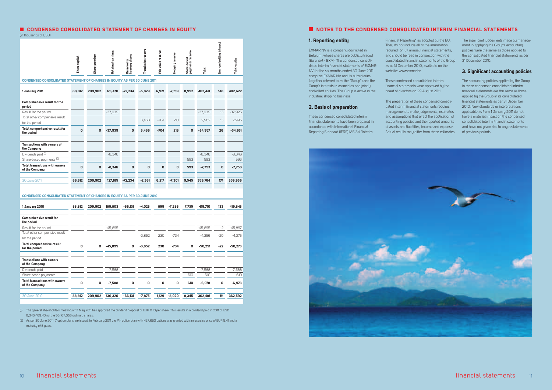# **CONDENSED CONSOLIDATED STATEMENT OF CHANGES IN EQUITY**

(In thousands of USD)

# **1. Reporting entity**

EXMAR NV is a company domiciled in Belgium, whose shares are publicly traded (Euronext - EXM). The condensed consolidated interim financial statements of EXMAR NV for the six months ended 30 June 2011 comprise EXMAR NV and its subsidiaries (together referred to as the "Group") and the Group's interests in associates and jointly controlled entities. The Group is active in the industrial shipping business.

# **2. Basis of preparation**

These condensed consolidated interim financial statements have been prepared in accordance with International Financial Reporting Standard (IFRS) IAS 34 "Interim

Financial Reporting" as adopted by the EU. They do not include all of the information required for full annual financial statements, and should be read in conjunction with the consolidated financial statements of the Group 31 December 2010. as at 31 December 2010, available on the website: www.exmar.be.

These condensed consolidated interim financial statements were approved by the board of directors on 29 August 2011.

The significant judgements made by management in applying the Group's accounting policies were the same as those applied to the consolidated financial statements as per

The preparation of these condensed consolidated interim financial statements requires management to make judgements, estimates applicable as from 1 January 2011 do not and assumptions that affect the application of have a material impact on the condensed accounting policies and the reported amounts consolidated interim financial statements of assets and liabilities, income and expense. and have not given rise to any restatements Actual results may differ from these estimates. of previous periods.



# **3. Significant accounting policies**

The accounting policies applied by the Group in these condensed consolidated interim financial statements are the same as those applied by the Group in its consolidated financial statements as per 31 December 2010. New standards or interpretations

# **NOTES TO THE CONDENSED CONSOLIDATED INTERIM FINANCIAL STATEMENTS**

(1) The general shareholders meeting of 17 May 2011 has approved the dividend proposal of EUR 0.10 per share. This results in a dividend paid in 2011 of USD 8,346,469.40 for the 56,167,358 ordinary shares.

(2) As per 30 June 2011, 7 option plans are issued. In February 2011 the 7th option plan with 437,650 options was granted with an exercise price of EUR 5.41 and a maturity of 8 years.

|                                                                                  | Share capital | Share premium | Retained earnings | Reserve for<br>treasury shares | Translation reserve | Fair value reserve | Hedging reserve | Share-based<br>payments reserve | Total     | Non-controlling interest | Total equity |
|----------------------------------------------------------------------------------|---------------|---------------|-------------------|--------------------------------|---------------------|--------------------|-----------------|---------------------------------|-----------|--------------------------|--------------|
| <b>CONDENSED CONSOLIDATED STATEMENT OF CHANGES IN EQUITY AS PER 30 JUNE 2011</b> |               |               |                   |                                |                     |                    |                 |                                 |           |                          |              |
| 1 January 2011                                                                   | 88,812        | 209,902       | 173,470           | $-72,234$                      | $-5,829$            | 6,921              | $-7,519$        | 8,952                           | 402,474   | 148                      | 402,622      |
|                                                                                  |               |               |                   |                                |                     |                    |                 |                                 |           |                          |              |
| Comprehensive result for the<br>period                                           |               |               |                   |                                |                     |                    |                 |                                 |           |                          |              |
| Result for the period                                                            |               |               | $-37,939$         |                                |                     |                    |                 |                                 | $-37,939$ | 13                       | $-37,926$    |
| Total other comprensive result                                                   |               |               |                   |                                | 3,468               | $-704$             | 218             |                                 | 2,982     | 13                       | 2,995        |
| for the period                                                                   |               |               |                   |                                |                     |                    |                 |                                 |           |                          |              |
| Total comprehensive result for<br>the period                                     | 0             | 0             | $-37,939$         | 0                              | 3,468               | $-704$             | 218             | 0                               | $-34,957$ | 26                       | $-34,931$    |
|                                                                                  |               |               |                   |                                |                     |                    |                 |                                 |           |                          |              |
| Transactions with owners of<br>the Company                                       |               |               |                   |                                |                     |                    |                 |                                 |           |                          |              |
| Dividends paid (1)                                                               |               |               | $-8,346$          |                                |                     |                    |                 |                                 | $-8,346$  |                          | $-8,346$     |
| Share-based payments (2)                                                         |               |               |                   |                                |                     |                    |                 | 593                             | 593       |                          | 593          |
| <b>Total transactions with owners</b><br>of the Company                          | 0             | $\mathbf 0$   | $-8,346$          | 0                              | $\mathbf 0$         | 0                  | 0               | 593                             | $-7,753$  | $\Omega$                 | $-7,753$     |
| 30 June 2011                                                                     | 88,812        | 209,902       |                   |                                |                     | 6,217              |                 | 9,545                           |           | 174                      | 359,938      |
|                                                                                  |               |               | 127,185           | $-72,234$                      | $-2,361$            |                    | $-7,301$        |                                 | 359,764   |                          |              |
| <b>CONDENSED CONSOLIDATED STATEMENT OF CHANGES IN EQUITY AS PER 30 JUNE 2010</b> |               |               |                   |                                |                     |                    |                 |                                 |           |                          |              |
|                                                                                  |               |               |                   |                                |                     |                    |                 |                                 |           |                          |              |
| 1 January 2010                                                                   | 88,812        | 209.902       | 189,803           | $-66,131$                      | $-4,023$            | 899                | $-7,286$        | 7,735                           | 419,710   | 133                      | 419,843      |
| Comprehensive result for                                                         |               |               |                   |                                |                     |                    |                 |                                 |           |                          |              |

| the period                                              |        |         |           |           |          |       |          |       |           |       |           |
|---------------------------------------------------------|--------|---------|-----------|-----------|----------|-------|----------|-------|-----------|-------|-----------|
| Result for the period                                   |        |         | $-45,895$ |           |          |       |          |       | $-45,895$ | $-2$  | $-45,897$ |
| Total other comprensive result                          |        |         |           |           | $-3,852$ | 230   | $-734$   |       | $-4,356$  | $-20$ | $-4,376$  |
| for the period                                          |        |         |           |           |          |       |          |       |           |       |           |
| Total comprehensive result<br>for the period            | 0      | 0       | $-45,895$ | 0         | $-3,852$ | 230   | $-734$   | 0     | $-50,251$ | $-22$ | $-50,273$ |
|                                                         |        |         |           |           |          |       |          |       |           |       |           |
| <b>Transactions with owners</b><br>of the Company       |        |         |           |           |          |       |          |       |           |       |           |
| Dividends paid                                          |        |         | $-7,588$  |           |          |       |          |       | $-7,588$  |       | $-7,588$  |
| Share-based payments                                    |        |         |           |           |          |       |          | 610   | 610       |       | 610       |
| <b>Total transactions with owners</b><br>of the Company | 0      | 0       | $-7,588$  | 0         | 0        | 0     | 0        | 610   | $-6,978$  | 0     | $-6,978$  |
| 30 June 2010                                            | 88,812 | 209,902 | 136,320   | $-66,131$ | $-7,875$ | 1,129 | $-8,020$ | 8,345 | 362,481   | 111   | 362,592   |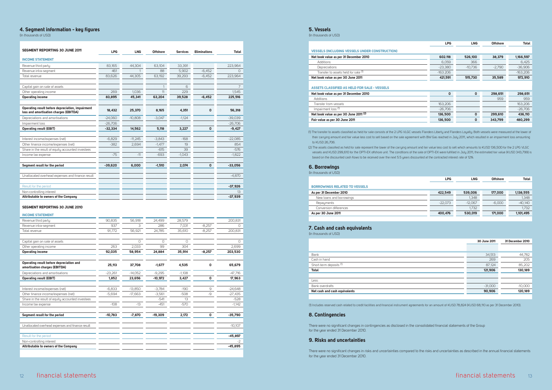|                               | 30 June 2011 | 31 December 2010 |
|-------------------------------|--------------|------------------|
|                               |              |                  |
| Bank                          | 34,513       | 44,782           |
| Cash in hand                  | 269          | 205              |
| Short-term deposits (1)       | 87,124       | 85,202           |
| <b>Total</b>                  | 121,906      | 130,189          |
|                               |              |                  |
| Less:                         |              |                  |
| Bank overdrafts               | $-31,000$    | $-10,000$        |
| Net cash and cash equivalents | 90,906       | 120,189          |

# **7. Cash and cash equivalents**

(In thousands of USD)

(1) Includes reserved cash related to credit facilities and financial instrument agreements for an amount of KUSD 78,824 (KUSD 68,110 as per 31 December 2010).

# **8. Contingencies**

There were no significant changes in contingencies as disclosed in the consolidated financial statements of the Group for the year ended 31 December 2010.

# **9. Risks and uncertainties**

There were no significant changes in risks and uncertainties compared to the risks and uncertainties as described in the annual financial statements for the year ended 31 December 2010.

|                                                                                                                               | <b>LPG</b>  | <b>LNG</b> | <b>Offshore</b> | <b>Total</b>   |
|-------------------------------------------------------------------------------------------------------------------------------|-------------|------------|-----------------|----------------|
| <b>VESSELS (INCLUDING VESSELS UNDER CONSTRUCTION)</b>                                                                         |             |            |                 |                |
| Net book value as per 31 December 2010                                                                                        | 602.118     | 526,100    | 38,379          | 1,166,597      |
| Additions                                                                                                                     | 6,059       | 366        |                 | 6,425          |
| Depreciations                                                                                                                 | $-23,380$   | $-10,736$  | $-2,790$        | $-36,906$      |
| Transfer to assets held for sale (1)                                                                                          | $-163.206$  |            |                 | $-163,206$     |
| Net book value as per 30 June 2011                                                                                            | 421,591     | 515,730    | 35,589          | 972,910        |
| ASSETS CLASSIFIED AS HELD FOR SALE - VESSELS                                                                                  |             |            |                 |                |
|                                                                                                                               |             |            |                 |                |
| Additions                                                                                                                     | $\mathbf 0$ | 0          | 298,651<br>959  | 298,651<br>959 |
| Transfer from vessels                                                                                                         | 163,206     |            |                 | 163,206        |
| Impairment loss (1)                                                                                                           | $-26,706$   |            |                 | $-26,706$      |
|                                                                                                                               | 136,500     | 0          | 299,610         | 436,110        |
| Net book value as per 31 December 2010<br>Net book value as per 30 June 2011 <sup>(2)</sup><br>Fair value as per 30 June 2011 | 136,500     | 0          | 343.799         | 480,299        |

# **5. Vessels**

(In thousands of USD)

(1) The transfer to assets classified as held for sale consists of the 2 LPG VLGC vessels Flanders Liberty and Flanders Loyalty. Both vessels were measured at the lower of their carrying amount and fair value less cost to sell based on the sale agreement with BW Gas reached in July 2011, which resulted in an impairment loss amounting

- to KUSD 26,706.
- 

(2) The assets classified as held for sale represent the lower of the carrying amount and fair value less cost to sell which amounts to KUSD 136,500 for the 2 LPG VLGC vessels and KUSD 299,610 for the OPTI-EX offshore unit. The conditions of the sale of OPTI-EX were fulfilled in July 2011; the estimated fair value (KUSD 343,799) is based on the discounted cash flows to be received over the next 5.5 years discounted at the contracted interest rate of 12%.

# **6. Borrowings**

(In thousands of USD)

|                                      | <b>LPG</b> | <b>LNG</b> | <b>Offshore</b> | <b>Total</b> |
|--------------------------------------|------------|------------|-----------------|--------------|
| <b>BORROWINGS RELATED TO VESSELS</b> |            |            |                 |              |
| As per 31 December 2010              | 422,549    | 539,006    | 177,000         | 1,138,555    |
| New loans and borrowings             |            | 1,348      |                 | 1,348        |
| Repayments                           | $-22.073$  | $-12.067$  | $-6.000$        | $-40,140$    |
| Conversion differences               |            | 1,732      |                 | 1,732        |
| As per 30 June 2011                  | 400,476    | 530.019    | 171,000         | 1,101,495    |

| <b>SEGMENT REPORTING 30 JUNE 2011</b>                                                      | <b>LPG</b> | <b>LNG</b> | <b>Offshore</b> | <b>Services</b> | <b>Eliminations</b> | Total     |
|--------------------------------------------------------------------------------------------|------------|------------|-----------------|-----------------|---------------------|-----------|
| <b>INCOME STATEMENT</b>                                                                    |            |            |                 |                 |                     |           |
| Revenue third party                                                                        | 83,165     | 44,304     | 63,104          | 33,391          |                     | 223,964   |
| Revenue intra-segment                                                                      | 461        |            | 88              | 5,902           | $-6,452$            | $\Omega$  |
| Total revenue                                                                              | 83,626     | 44,305     | 63,192          | 39,293          | $-6,452$            | 223,964   |
|                                                                                            |            |            |                 |                 |                     |           |
| Capital gain on sale of assets                                                             |            |            | 1               | 6               |                     | 7         |
| Other operating income                                                                     | 269        | 1,036      | 11              | 229             |                     | 1,545     |
| <b>Operating income</b>                                                                    | 83,895     | 45,341     | 63,204          | 39,528          | -6,452              | 225,516   |
|                                                                                            |            |            |                 |                 |                     |           |
| Operating result before depreciation, impairment<br>loss and amortisation charges (EBITDA) | 18,432     | 25,370     | 8,165           | 4,351           | 0                   | 56,318    |
| Depreciations and amortisations                                                            | $-24,060$  | $-10,808$  | $-3,047$        | $-1,124$        |                     | $-39,039$ |
| Impairment loss                                                                            | $-26,706$  |            |                 |                 |                     | $-26,706$ |
| Operating result (EBIT)                                                                    | $-32,334$  | 14,562     | 5,118           | 3,227           | 0                   | $-9,427$  |
|                                                                                            |            |            |                 |                 |                     |           |
| Interest income/expenses (net)                                                             | $-6,829$   | $-11,245$  | $-3,843$        | $-168$          |                     | $-22.085$ |
| Other finance income/expenses (net)                                                        | $-382$     | 2,694      | $-1,477$        | 19              |                     | 854       |
| Share in the result of equity accounted investees                                          |            |            | $-615$          | 39              |                     | $-576$    |
| Income tax expense                                                                         | $-75$      | $-11$      | $-693$          | $-1,043$        |                     | $-1,822$  |
| Segment result for the period                                                              | $-39,620$  | 6,000      | $-1,510$        | 2,074           | 0                   | $-33,056$ |
|                                                                                            |            |            |                 |                 |                     |           |
| Unallocated overhead expenses and finance result                                           |            |            |                 |                 |                     | $-4,870$  |
|                                                                                            |            |            |                 |                 |                     |           |
| Result for the period                                                                      |            |            |                 |                 |                     | -37,926   |
| Non-controlling interest                                                                   |            |            |                 |                 |                     | 13        |
| Attributable to owners of the Company                                                      |            |            |                 |                 |                     | $-37,939$ |
|                                                                                            |            |            |                 |                 |                     |           |
| <b>SEGMENT REPORTING 30 JUNE 2010</b>                                                      |            |            |                 |                 |                     |           |
| <b>INCOME STATEMENT</b>                                                                    |            |            |                 |                 |                     |           |
| Revenue third party                                                                        | 90,835     | 56,918     | 24,499          | 28,579          |                     | 200,831   |
| Revenue intra-segment                                                                      | 937        | 3          | 286             | 7,031           | $-8,257$            | 0         |
| Total revenue                                                                              | 91,772     | 56,921     | 24,785          | 35,610          | $-8,257$            | 200,831   |
|                                                                                            |            |            |                 |                 |                     |           |
| Capital gain on sale of assets                                                             |            | 0          | 0               | O               |                     | 0         |
| Other operating income                                                                     | 263        | 2,033      | 99              | 304             |                     | 2,699     |
| <b>Operating income</b>                                                                    | 92,035     | 58,954     | 24,884          | 35,914          | $-8,257$            | 203,530   |
| Operating result before depreciation and                                                   | 25,113     | 37,708     | $-1,677$        | 4,535           | 0                   | 65,679    |
| amortisation charges (EBITDA)                                                              |            |            |                 |                 |                     |           |
| Depreciations and amortisations                                                            | $-23,261$  | $-14,052$  | $-9,295$        | $-1,108$        |                     | $-47,716$ |
| <b>Operating result (EBIT)</b>                                                             | 1,852      | 23,656     | -10,972         | 3,427           | 0                   | 17,963    |
| Interest income/expenses (net)                                                             | $-6,833$   | $-13,850$  | $-3,784$        | $-190$          | 9                   | $-24,648$ |
| Other finance income/expenses (net)                                                        | $-5,694$   | $-17,663$  | $-3,561$        | -508            | -9                  | $-27,435$ |
| Share in the result of equity accounted investees                                          |            |            | -541            | 13              |                     | $-528$    |
| Income tax expense                                                                         | $-108$     | $-13$      | -451            | $-570$          |                     | $-1,142$  |
|                                                                                            |            |            |                 |                 |                     |           |
| Segment result for the period                                                              | $-10,783$  | $-7,870$   | $-19,309$       | 2,172           | 0                   | $-35,790$ |
|                                                                                            |            |            |                 |                 |                     |           |
| Unallocated overhead expenses and finance result                                           |            |            |                 |                 |                     | $-10,107$ |
|                                                                                            |            |            |                 |                 |                     |           |
| Result for the period                                                                      |            |            |                 |                 |                     | $-45,897$ |
| Non-controlling interest<br>Attributable to owners of the Company                          |            |            |                 |                 |                     | -2        |
|                                                                                            |            |            |                 |                 |                     | $-45,895$ |

# **4. Segment information - key figures**

(In thousands of USD)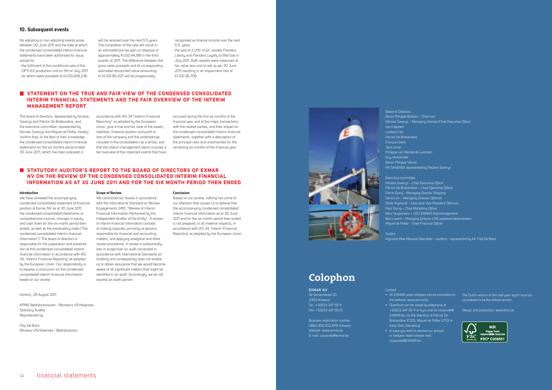### **Introduction**

We have reviewed the accompanying condensed consolidated statement of financial position of Exmar NV as at 30 June 2011, the condensed consolidated statements of comprehensive income, changes in equity and cash flows for the six month period then ended, as well as the explanatory notes ("the condensed consolidated interim financial information"). The board of directors is responsible for the preparation and presentation of this condensed consolidated interim financial information in accordance with IAS 34, 'Interim Financial Reporting' as adopted by the European Union. Our responsibility is to express a conclusion on this condensed consolidated interim financial information based on our review.

### **Scope of Review**

# We conducted our review in accordance with the International Standard on Review Engagements 2410, "Review of Interim Financial Information Performed by the Independent Auditor of the Entity". A review of interim financial information consists of making inquiries, primarily of persons responsible for financial and accounting matters, and applying analytical and other review procedures. A review is substantially less in scope than an audit conducted in accordance with International Standards on Auditing and consequently does not enable us to obtain assurance that we would become aware of all significant matters that might be identified in an audit. Accordingly, we do not express an audit opinion.

**Conclusion**



Based on our review, nothing has come to our attention that causes us to believe that the accompanying condensed consolidated interim financial information as at 30 June 2011 and for the six month period then ended is not prepared, in all material respects, in accordance with IAS 34, 'Interim Financial Reporting' as adopted by the European Union.

> • All EXMAR press releases can be consulted on The Dutch version of this half year report must be considered to be the official version.

The board of directors, represented by Nicolas Saverys and Patrick De Brabandere, and the executive committee, represented by Nicolas Saverys and Miguel de Potter, hereby confirm that, to the best of their knowledge, the condensed consolidated interim financial statements for the six months period ended 30 June 2011, which has been prepared in

accordance with IAS 34 "Interim Financial Reporting" as adopted by the European Union, give a true and fair view of the assets, liabilities, financial position and profit or loss of the company and the undertakings included in the consolidation as a whole, and that the interim management report includes a fair overview of the important events that have

No adjusting or non-adjusting events arose between 30 June 2011 and the date at which the condensed consolidated interim financial statements have been authorised for issue, except for

> occurred during the first six months of the financial year and of the major transactions with the related parties, and their impact on the condensed consolidated interim financial statements, together with a description of the principal risks and uncertainties for the remaining six months of the financial year.

# **STATUTORY AUDITOR'S REPORT TO THE BOARD OF DIRECTORS OF EXMAR NV ON THE REVIEW OF THE CONDENSED CONSOLIDATED INTERIM FINANCIAL INFORMATION AS AT 30 JUNE 2011 AND FOR THE SIX MONTH PERIOD THEN ENDED**

# **Statement on the true and fair view of the condensed consolidated interim financial statements and the fair overview of the interim management report**

### Kontich, 29 August 2011

KPMG Bedrijfsrevisoren - Réviseurs d'Entreprises Statutory Auditor Represented by

Filip De Bock Réviseur d'Entreprises / Bedrijfsrevisor

# **EXMAR nv**

De Gerlachekaai 20 2000 Antwerp Tel.: +32(0)3 247 56 11 Fax: +32(0)3 247 56 01

Business registration number: 0860 409 202 RPR Antwerp Website: www.exmar.be E-mail: corporate@exmar.be

### **Contact**

• Questions can be asked by telephone at

+32(0)3 247 56 11 or by e-mail to corporate@

- 
- the website: www.exmar.be
	- EXMAR.be, for the attention of Patrick De
	- Karel Stes (Secretary). • In case you wish to receive our annual
	- or halfyear report please mail: corporate@EXMAR.be

Brabandere (COO), Miguel de Potter (CFO) or

Design and production: www.dms.be



# **Colophon**

Board of Directors Baron Philippe Bodson – *Chairman*  Nicolas Saverys – *Managing Director/Chief Executive Officer* Leo Cappoen Ludwig Criel Patrick De Brabandere François Gillet Jens Ismar Philippe van Marcke de Lummen Guy Verhofstadt Baron Philippe Vlerick

NV SAVEREX represented by Pauline Saverys

Executive committee Nicolas Saverys – *Chief Executive Officer* Pierre Dincq – *Managing Director Shipping*  David Lim – *Managing Director Offshore*  Paul Young – *Chief Marketing Officer* Miguel de Potter - *Chief Financial Officer*

Patrick De Brabandere – *Chief Operating Officer*  Didier Ryelandt – *Executive Vice President Offshore* Marc Nuytemans – *CEO EXMAR Shipmanagement*  Bart Lavent – *Managing Director LNG upstream/downstream*

Auditor

Klynveld Peat Marwick Goerdeler – auditors - represented by Mr. Filip De Bock.

-the fulfilment of the conditional sale of the OPTI-EX production unit on 5th of July 2011 for which sales proceeds of KUSD 429,236 will be received over the next 5.5 years. The completion of the sale will result in an estimated pre-tax gain on disposal of approximately KUSD 44,189 in the third quarter of 2011. The difference between the gross sales proceeds and its corresponding estimated discounted value amounting to KUSD 85,437 will be progressively

recognised as finance income over the next 5.5. years.

-the sale of 2 LPG VLGC vessels Flanders Liberty and Flanders Loyalty to BW Gas in July 2011. Both vessels were measured at fair value less cost to sell as per 30 June 2011 resulting in an impairment loss of KUSD 26,706.

# **10. Subsequent events**